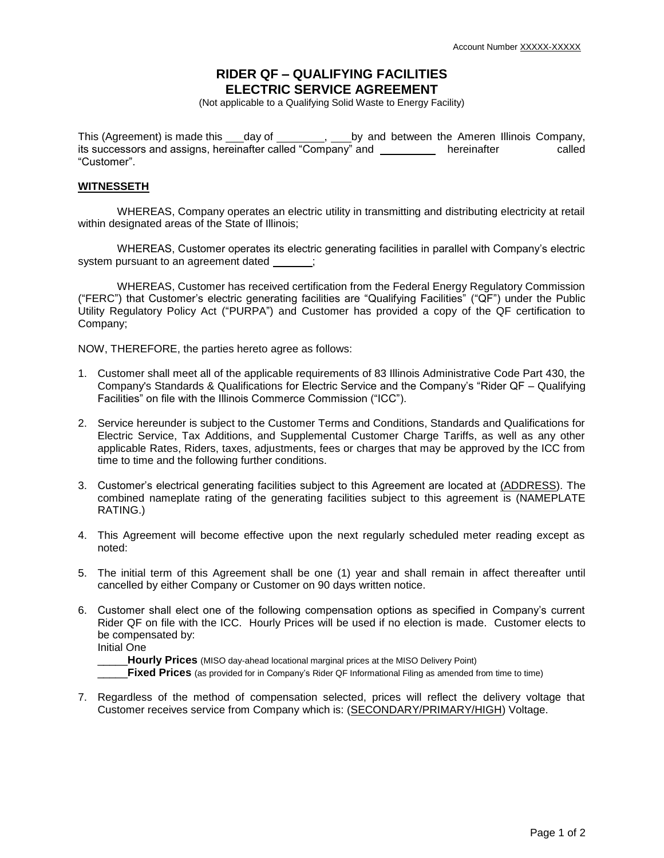## **RIDER QF – QUALIFYING FACILITIES ELECTRIC SERVICE AGREEMENT**

(Not applicable to a Qualifying Solid Waste to Energy Facility)

This (Agreement) is made this  $\dots$  day of  $\dots$ , by and between the Ameren Illinois Company, its successors and assigns, hereinafter called "Company" and \_\_\_\_\_\_\_\_\_\_ hereinafter called "Customer".

## **WITNESSETH**

WHEREAS, Company operates an electric utility in transmitting and distributing electricity at retail within designated areas of the State of Illinois;

WHEREAS, Customer operates its electric generating facilities in parallel with Company's electric system pursuant to an agreement dated \_\_\_\_\_;

WHEREAS, Customer has received certification from the Federal Energy Regulatory Commission ("FERC") that Customer's electric generating facilities are "Qualifying Facilities" ("QF") under the Public Utility Regulatory Policy Act ("PURPA") and Customer has provided a copy of the QF certification to Company;

NOW, THEREFORE, the parties hereto agree as follows:

- 1. Customer shall meet all of the applicable requirements of 83 Illinois Administrative Code Part 430, the Company's Standards & Qualifications for Electric Service and the Company's "Rider QF – Qualifying Facilities" on file with the Illinois Commerce Commission ("ICC").
- 2. Service hereunder is subject to the Customer Terms and Conditions, Standards and Qualifications for Electric Service, Tax Additions, and Supplemental Customer Charge Tariffs, as well as any other applicable Rates, Riders, taxes, adjustments, fees or charges that may be approved by the ICC from time to time and the following further conditions.
- 3. Customer's electrical generating facilities subject to this Agreement are located at (ADDRESS). The combined nameplate rating of the generating facilities subject to this agreement is (NAMEPLATE RATING.)
- 4. This Agreement will become effective upon the next regularly scheduled meter reading except as noted:
- 5. The initial term of this Agreement shall be one (1) year and shall remain in affect thereafter until cancelled by either Company or Customer on 90 days written notice.
- 6. Customer shall elect one of the following compensation options as specified in Company's current Rider QF on file with the ICC. Hourly Prices will be used if no election is made. Customer elects to be compensated by:

Initial One

\_\_\_\_\_**Hourly Prices** (MISO day-ahead locational marginal prices at the MISO Delivery Point)

Fixed Prices (as provided for in Company's Rider QF Informational Filing as amended from time to time)

7. Regardless of the method of compensation selected, prices will reflect the delivery voltage that Customer receives service from Company which is: (SECONDARY/PRIMARY/HIGH) Voltage.